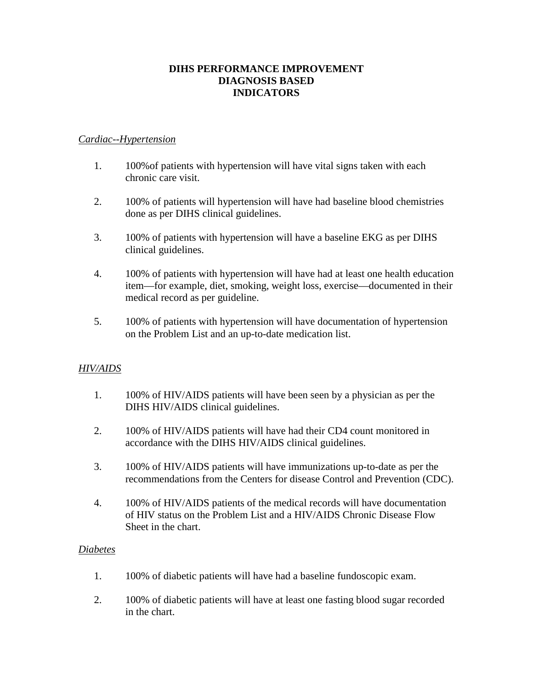# **DIHS PERFORMANCE IMPROVEMENT DIAGNOSIS BASED INDICATORS**

## *Cardiac--Hypertension*

- 1. 100%of patients with hypertension will have vital signs taken with each chronic care visit.
- 2. 100% of patients will hypertension will have had baseline blood chemistries done as per DIHS clinical guidelines.
- 3. 100% of patients with hypertension will have a baseline EKG as per DIHS clinical guidelines.
- 4. 100% of patients with hypertension will have had at least one health education item—for example, diet, smoking, weight loss, exercise—documented in their medical record as per guideline.
- 5. 100% of patients with hypertension will have documentation of hypertension on the Problem List and an up-to-date medication list.

# *HIV/AIDS*

- 1. 100% of HIV/AIDS patients will have been seen by a physician as per the DIHS HIV/AIDS clinical guidelines.
- 2. 100% of HIV/AIDS patients will have had their CD4 count monitored in accordance with the DIHS HIV/AIDS clinical guidelines.
- 3. 100% of HIV/AIDS patients will have immunizations up-to-date as per the recommendations from the Centers for disease Control and Prevention (CDC).
- 4. 100% of HIV/AIDS patients of the medical records will have documentation of HIV status on the Problem List and a HIV/AIDS Chronic Disease Flow Sheet in the chart.

#### *Diabetes*

- 1. 100% of diabetic patients will have had a baseline fundoscopic exam.
- 2. 100% of diabetic patients will have at least one fasting blood sugar recorded in the chart.